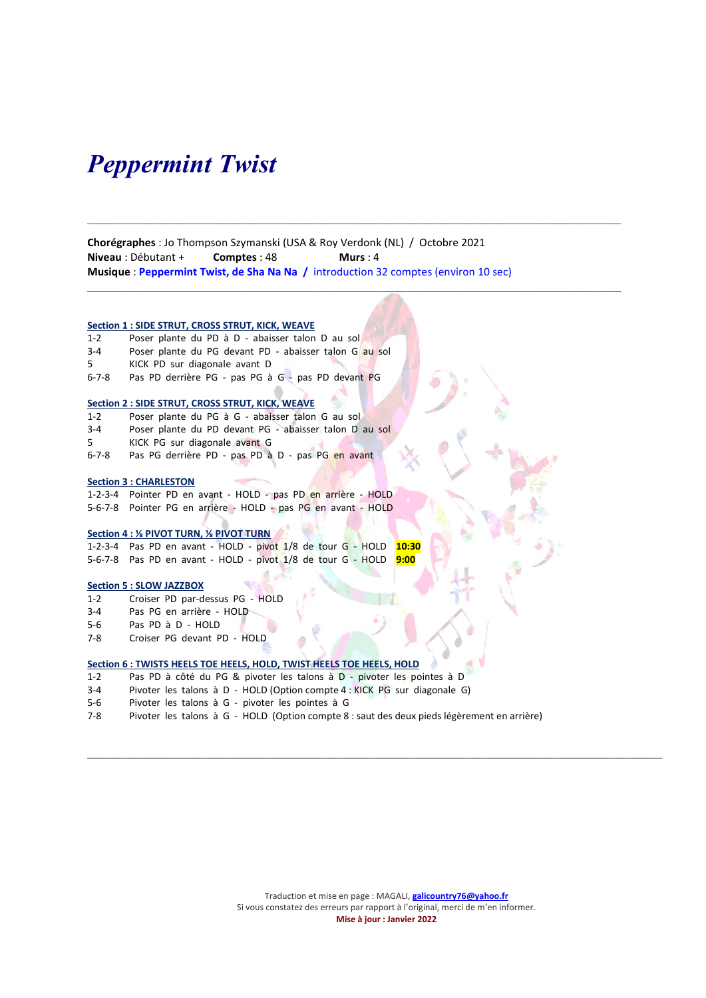## Peppermint Twist

Chorégraphes : Jo Thompson Szymanski (USA & Roy Verdonk (NL) / Octobre 2021 Niveau : Débutant + Comptes : 48 Murs : 4 Musique : Peppermint Twist, de Sha Na Na / introduction 32 comptes (environ 10 sec)

 $\mathcal{L}_\mathcal{L} = \{ \mathcal{L}_\mathcal{L} = \{ \mathcal{L}_\mathcal{L} = \{ \mathcal{L}_\mathcal{L} = \{ \mathcal{L}_\mathcal{L} = \{ \mathcal{L}_\mathcal{L} = \{ \mathcal{L}_\mathcal{L} = \{ \mathcal{L}_\mathcal{L} = \{ \mathcal{L}_\mathcal{L} = \{ \mathcal{L}_\mathcal{L} = \{ \mathcal{L}_\mathcal{L} = \{ \mathcal{L}_\mathcal{L} = \{ \mathcal{L}_\mathcal{L} = \{ \mathcal{L}_\mathcal{L} = \{ \mathcal{L}_\mathcal{$ 

### Section 1 : SIDE STRUT, CROSS STRUT, KICK, WEAVE

- 1-2 Poser plante du PD à D abaisser talon D au sol
- 3-4 Poser plante du PG devant PD abaisser talon G au sol
- 5 KICK PD sur diagonale avant D
- 6-7-8 Pas PD derrière PG pas PG à G pas PD devant PG

### Section 2 : SIDE STRUT, CROSS STRUT, KICK, WEAVE

- 1-2 Poser plante du PG à G abaisser talon G au sol
- 3-4 Poser plante du PD devant PG abaisser talon D au sol
- 5 KICK PG sur diagonale avant G
- 6-7-8 Pas PG derrière PD pas PD à D pas PG en avant

### Section 3 : CHARLESTON

1-2-3-4 Pointer PD en avant - HOLD - pas PD en arrière - HOLD 5-6-7-8 Pointer PG en arrière - HOLD - pas PG en avant - HOLD

### Section 4 : ⅛ PIVOT TURN, ⅛ PIVOT TURN

1-2-3-4 Pas PD en avant - HOLD - pivot 1/8 de tour G - HOLD 10:30 5-6-7-8 Pas PD en avant - HOLD - pivot 1/8 de tour G - HOLD 9:00

### Section 5 : SLOW JAZZBOX

- 1-2 Croiser PD par-dessus PG HOLD
- 3-4 Pas PG en arrière HOLD
- 5-6 Pas PD à D HOLD
- 7-8 Croiser PG devant PD HOLD

### Section 6 : TWISTS HEELS TOE HEELS, HOLD, TWIST HEELS TOE HEELS, HOLD

- 1-2 Pas PD à côté du PG & pivoter les talons à D pivoter les pointes à D
- 3-4 Pivoter les talons à D HOLD (Option compte 4 : KICK PG sur diagonale G)
- 5-6 Pivoter les talons à G pivoter les pointes à G
- 7-8 Pivoter les talons à G HOLD (Option compte 8 : saut des deux pieds légèrement en arrière)

 $\mathcal{L}_\text{max}$